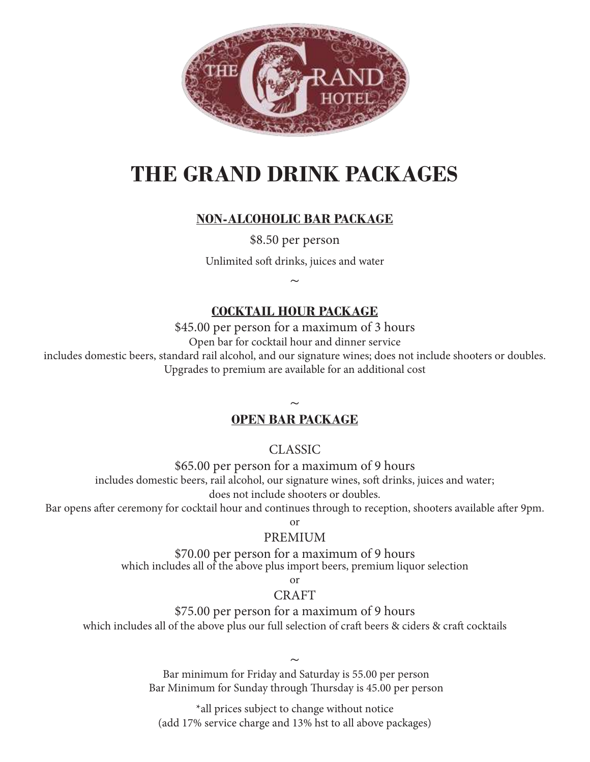

# **THE GRAND DRINK PACKAGES**

# **NON-ALCOHOLIC BAR PACKAGE**

\$8.50 per person

Unlimited soft drinks, juices and water

 $\sim$ 

# **COCKTAIL HOUR PACKAGE**

\$45.00 per person for a maximum of 3 hours

Open bar for cocktail hour and dinner service

includes domestic beers, standard rail alcohol, and our signature wines; does not include shooters or doubles. Upgrades to premium are available for an additional cost

# $\sim$ **OPEN BAR PACKAGE**

CLASSIC

\$65.00 per person for a maximum of 9 hours includes domestic beers, rail alcohol, our signature wines, soft drinks, juices and water; does not include shooters or doubles.

Bar opens after ceremony for cocktail hour and continues through to reception, shooters available after 9pm.

or

### PREMIUM

\$70.00 per person for a maximum of 9 hours which includes all of the above plus import beers, premium liquor selection

or

## CRAFT

\$75.00 per person for a maximum of 9 hours

which includes all of the above plus our full selection of craft beers & ciders & craft cocktails

 $\sim$  Bar minimum for Friday and Saturday is 55.00 per person Bar Minimum for Sunday through Thursday is 45.00 per person

\*all prices subject to change without notice (add 17% service charge and 13% hst to all above packages)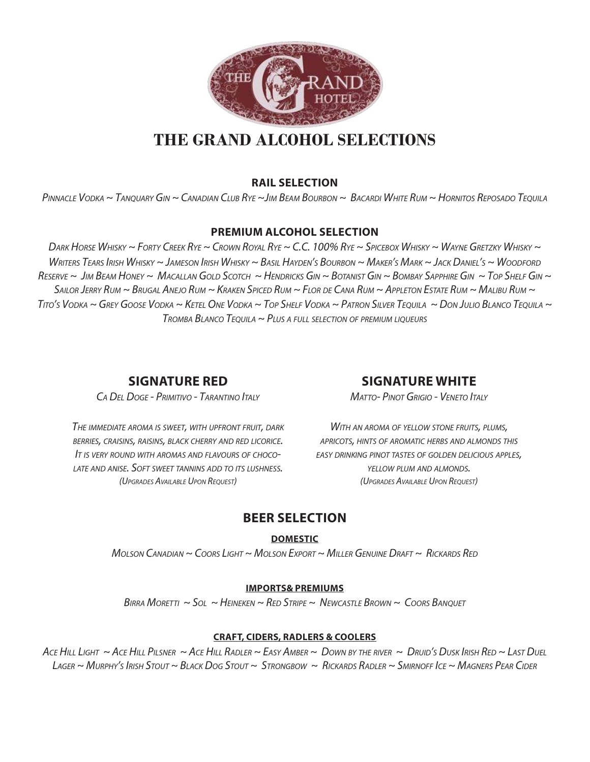

# **THE GRAND ALCOHOL SELECTIONS**

#### **RAIL SELECTION**

PINNACLE VODKA ~ TANQUARY GIN ~ CANADIAN CLUB RYE ~JIM BEAM BOURBON ~ BACARDI WHITE RUM ~ HORNITOS REPOSADO TEQUILA

#### **PREMIUM ALCOHOL SELECTION**

DARK HORSE WHISKY ~ FORTY CREEK RYE ~ CROWN ROYAL RYE ~ C.C. 100% RYE ~ SPICEBOX WHISKY ~ WAYNE GRETZKY WHISKY ~ WRITERS TEARS IRISH WHISKY ~ JAMESON IRISH WHISKY ~ BASIL HAYDEN'S BOURBON ~ MAKER'S MARK ~ JACK DANIEL'S ~ WOODFORD RESERVE ~ JIM BEAM HONEY ~ MACALLAN GOLD SCOTCH ~ HENDRICKS GIN ~ BOTANIST GIN ~ BOMBAY SAPPHIRE GIN ~ TOP SHELF GIN ~ SAILOR JERRY RUM ~ BRUGAL ANEJO RUM ~ KRAKEN SPICED RUM ~ FLOR DE CANA RUM ~ APPLETON ESTATE RUM ~ MALIBU RUM ~ TITO'S VODKA ~ GREY GOOSE VODKA ~ KETEL ONE VODKA ~ TOP SHELF VODKA ~ PATRON SILVER TEQUILA ~ DON JULIO BLANCO TEQUILA ~  $T_{ROMBA}$  Blanco  $T_{EOUIA} \sim P_{LUS}$  a full selection of premium liqueurs

#### **SIGNATURE RED**

CA DEL DOGE - PRIMITIVO - TARANTINO ITALY

#### **SIGNATURE WHITE**

MATTO- PINOT GRIGIO - VENETO ITALY

THE IMMEDIATE AROMA IS SWEET, WITH UPFRONT FRUIT, DARK BERRIES, CRAISINS, RAISINS, BLACK CHERRY AND RED LICORICE. I<sup>T</sup> IS VERY ROUND WITH AROMAS AND FLAVOURS OF CHOCO-LATE AND ANISE. SOFT SWEET TANNINS ADD TO ITS LUSHNESS. (UPGRADES AVAILABLE UPON REQUEST)

WITH AN AROMA OF YELLOW STONE FRUITS, PLUMS, APRICOTS, HINTS OF AROMATIC HERBS AND ALMONDS THIS EASY DRINKING PINOT TASTES OF GOLDEN DELICIOUS APPLES, YELLOW PLUM AND ALMONDS. (UPGRADES AVAILABLE UPON REQUEST)

### **BEER SELECTION**

**DOMESTIC**

MOLSON CANADIAN ~ COORS LIGHT ~ MOLSON EXPORT ~ MILLER GENUINE  $D$ RAFT ~ RICKARDS RED

#### **IMPORTS& PREMIUMS**

BIRRA MORETTI  $\sim$  Sol  $\sim$  Heineken  $\sim$  Red Stripe  $\sim$  Newcastle Brown  $\sim$  Coors Banouet

#### **CRAFT, CIDERS, RADLERS & COOLERS**

ACE HILL LIGHT ~ ACE HILL PILSNER ~ ACE HILL RADLER ~ EASY AMBER ~ DOWN BY THE RIVER ~ DRUID'S DUSK IRISH RED ~ LAST DUEL LAGER ~ MURPHY'S IRISH STOUT ~ BLACK DOG STOUT ~ STRONGBOW ~ RICKARDS RADLER ~ SMIRNOFF ICE ~ MAGNERS PEAR CIDER